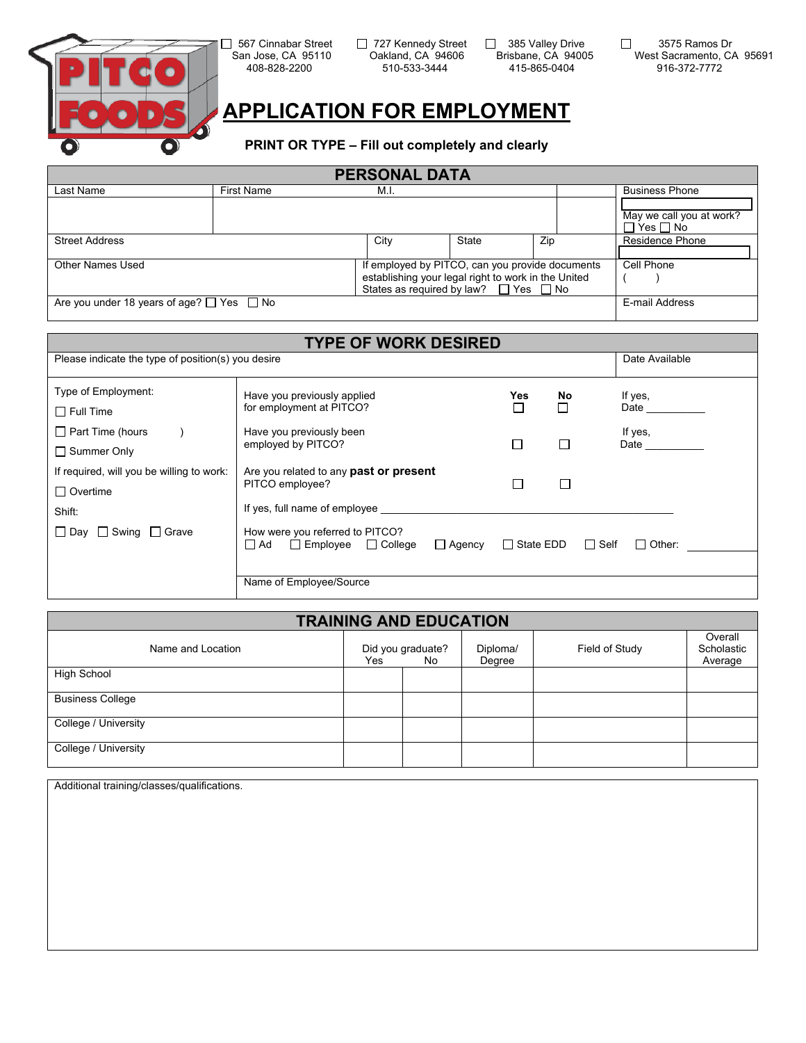

 San Jose, CA 95110 Oakland, CA 94606 Brisbane, CA 94005 510-533-3444

□ 567 Cinnabar Street □ 727 Kennedy Street □ 385 Valley Drive<br>San Jose, CA 95110 Oakland, CA 94606 Brisbane, CA 94005

 $\Box$  3575 Ramos Dr West Sacramento, CA 95691<br>916-372-7772

## **APPLICATION FOR EMPLOYMENT**

**PRINT OR TYPE – Fill out completely and clearly** 

| <b>PERSONAL DATA</b>                                |                                                                                                                                                           |      |       |            |                                                  |
|-----------------------------------------------------|-----------------------------------------------------------------------------------------------------------------------------------------------------------|------|-------|------------|--------------------------------------------------|
| Last Name                                           | <b>First Name</b>                                                                                                                                         | M.I. |       |            | <b>Business Phone</b>                            |
|                                                     |                                                                                                                                                           |      |       |            | May we call you at work?<br>$\Box$ Yes $\Box$ No |
| <b>Street Address</b>                               |                                                                                                                                                           | City | State | Zip        | Residence Phone                                  |
| Other Names Used                                    | If employed by PITCO, can you provide documents<br>establishing your legal right to work in the United<br>States as required by law? $\Box$ Yes $\Box$ No |      |       | Cell Phone |                                                  |
| Are you under 18 years of age? $\Box$ Yes $\Box$ No |                                                                                                                                                           |      |       |            | E-mail Address                                   |

|                                                    | <b>TYPE OF WORK DESIRED</b>                                                                     |                  |        |                              |
|----------------------------------------------------|-------------------------------------------------------------------------------------------------|------------------|--------|------------------------------|
| Please indicate the type of position(s) you desire |                                                                                                 |                  |        | Date Available               |
| Type of Employment:                                | Have you previously applied                                                                     | Yes              | No     | If yes,                      |
| $\Box$ Full Time                                   | for employment at PITCO?                                                                        | П                |        | Date                         |
| $\Box$ Part Time (hours                            | Have you previously been                                                                        |                  |        | If yes,                      |
| $\Box$ Summer Only                                 | employed by PITCO?                                                                              | $\Box$           | $\Box$ | <b>Date Date</b>             |
| If required, will you be willing to work:          | Are you related to any <b>past or present</b>                                                   |                  |        |                              |
| $\Box$ Overtime                                    | PITCO employee?                                                                                 | $\Box$           | П      |                              |
| Shift:                                             | If yes, full name of employee                                                                   |                  |        |                              |
| $\Box$ Day $\Box$ Swing $\Box$ Grave               | How were you referred to PITCO?<br>$\Box$ Employee $\Box$ College<br>$\Box$ Ad<br>$\Box$ Agency | $\Box$ State EDD |        | $\Box$ Self<br>$\Box$ Other: |
|                                                    |                                                                                                 |                  |        |                              |
|                                                    | Name of Employee/Source                                                                         |                  |        |                              |

| <b>TRAINING AND EDUCATION</b> |     |                          |                    |                |                                  |  |
|-------------------------------|-----|--------------------------|--------------------|----------------|----------------------------------|--|
| Name and Location             | Yes | Did you graduate?<br>No. | Diploma/<br>Degree | Field of Study | Overall<br>Scholastic<br>Average |  |
| High School                   |     |                          |                    |                |                                  |  |
| <b>Business College</b>       |     |                          |                    |                |                                  |  |
| College / University          |     |                          |                    |                |                                  |  |
| College / University          |     |                          |                    |                |                                  |  |

Additional training/classes/qualifications.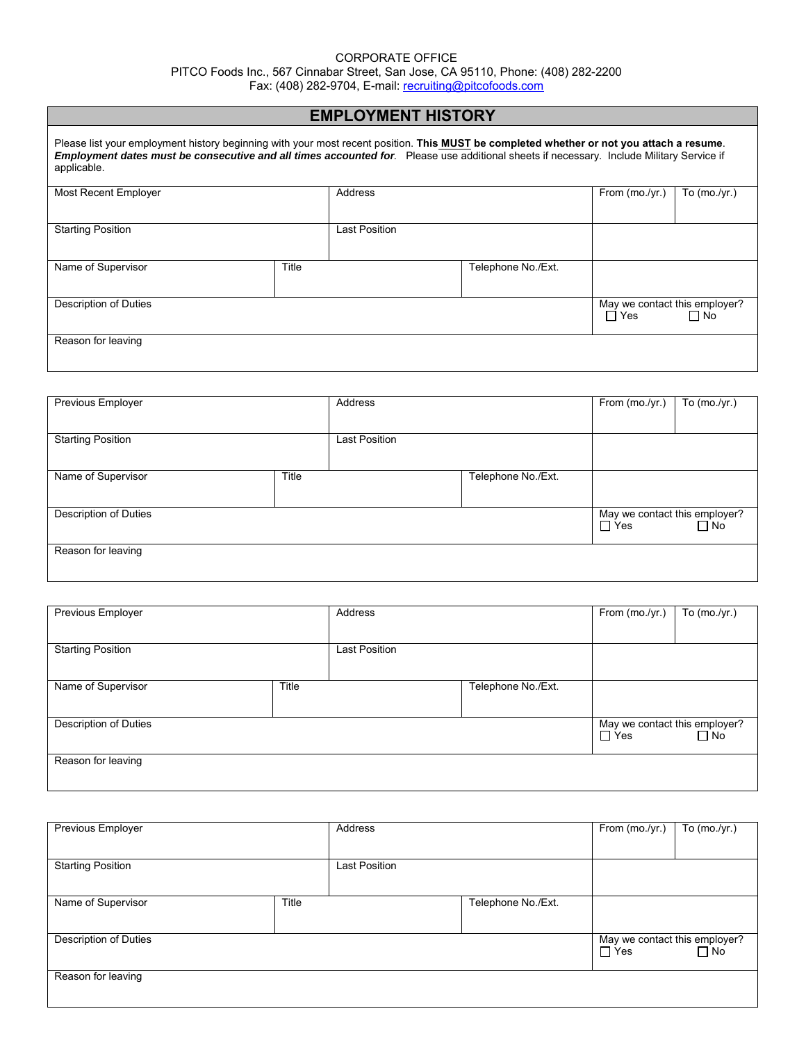#### CORPORATE OFFICE

PITCO Foods Inc., 567 Cinnabar Street, San Jose, CA 95110, Phone: (408) 282-2200

Fax: (408) 282-9704, E-mail: <u>recruiting@pitcofoods.com</u>

# **EMPLOYMENT HISTORY**

| Please list your employment history beginning with your most recent position. This MUST be completed whether or not you attach a resume.<br>Employment dates must be consecutive and all times accounted for. Please use additional sheets if necessary. Include Military Service if<br>applicable. |       |               |                    |                               |                |
|-----------------------------------------------------------------------------------------------------------------------------------------------------------------------------------------------------------------------------------------------------------------------------------------------------|-------|---------------|--------------------|-------------------------------|----------------|
| Most Recent Employer                                                                                                                                                                                                                                                                                |       | Address       |                    | From $(mo./yr.)$              | To $(mo./yr.)$ |
|                                                                                                                                                                                                                                                                                                     |       |               |                    |                               |                |
| <b>Starting Position</b>                                                                                                                                                                                                                                                                            |       | Last Position |                    |                               |                |
|                                                                                                                                                                                                                                                                                                     |       |               |                    |                               |                |
| Name of Supervisor                                                                                                                                                                                                                                                                                  | Title |               | Telephone No./Ext. |                               |                |
|                                                                                                                                                                                                                                                                                                     |       |               |                    |                               |                |
| Description of Duties                                                                                                                                                                                                                                                                               |       |               |                    | May we contact this employer? |                |
|                                                                                                                                                                                                                                                                                                     |       |               |                    | $\Box$ Yes                    | $\Box$ No      |
| Reason for leaving                                                                                                                                                                                                                                                                                  |       |               |                    |                               |                |
|                                                                                                                                                                                                                                                                                                     |       |               |                    |                               |                |
|                                                                                                                                                                                                                                                                                                     |       |               |                    |                               |                |

| Previous Employer        |       | Address              |                    | From (mo./yr.)                | To (mo./yr.) |
|--------------------------|-------|----------------------|--------------------|-------------------------------|--------------|
|                          |       |                      |                    |                               |              |
| <b>Starting Position</b> |       | <b>Last Position</b> |                    |                               |              |
|                          |       |                      |                    |                               |              |
| Name of Supervisor       | Title |                      | Telephone No./Ext. |                               |              |
|                          |       |                      |                    |                               |              |
| Description of Duties    |       |                      |                    | May we contact this employer? |              |
|                          |       |                      |                    | $\Box$ Yes                    | $\Box$ No    |
| Reason for leaving       |       |                      |                    |                               |              |
|                          |       |                      |                    |                               |              |

| Previous Employer        |       | Address       |                    | From (mo./yr.)                              | To $(mo./yr.)$ |
|--------------------------|-------|---------------|--------------------|---------------------------------------------|----------------|
|                          |       |               |                    |                                             |                |
| <b>Starting Position</b> |       | Last Position |                    |                                             |                |
|                          |       |               |                    |                                             |                |
| Name of Supervisor       | Title |               | Telephone No./Ext. |                                             |                |
|                          |       |               |                    |                                             |                |
| Description of Duties    |       |               |                    | May we contact this employer?<br>$\Box$ Yes | $\Box$ No      |
|                          |       |               |                    |                                             |                |
| Reason for leaving       |       |               |                    |                                             |                |
|                          |       |               |                    |                                             |                |

| Previous Employer        |       | Address              |                    | From (mo./yr.)                              | To (mo./yr.) |
|--------------------------|-------|----------------------|--------------------|---------------------------------------------|--------------|
| <b>Starting Position</b> |       | <b>Last Position</b> |                    |                                             |              |
| Name of Supervisor       | Title |                      | Telephone No./Ext. |                                             |              |
| Description of Duties    |       |                      |                    | May we contact this employer?<br>$\Box$ Yes | $\Box$ No    |
| Reason for leaving       |       |                      |                    |                                             |              |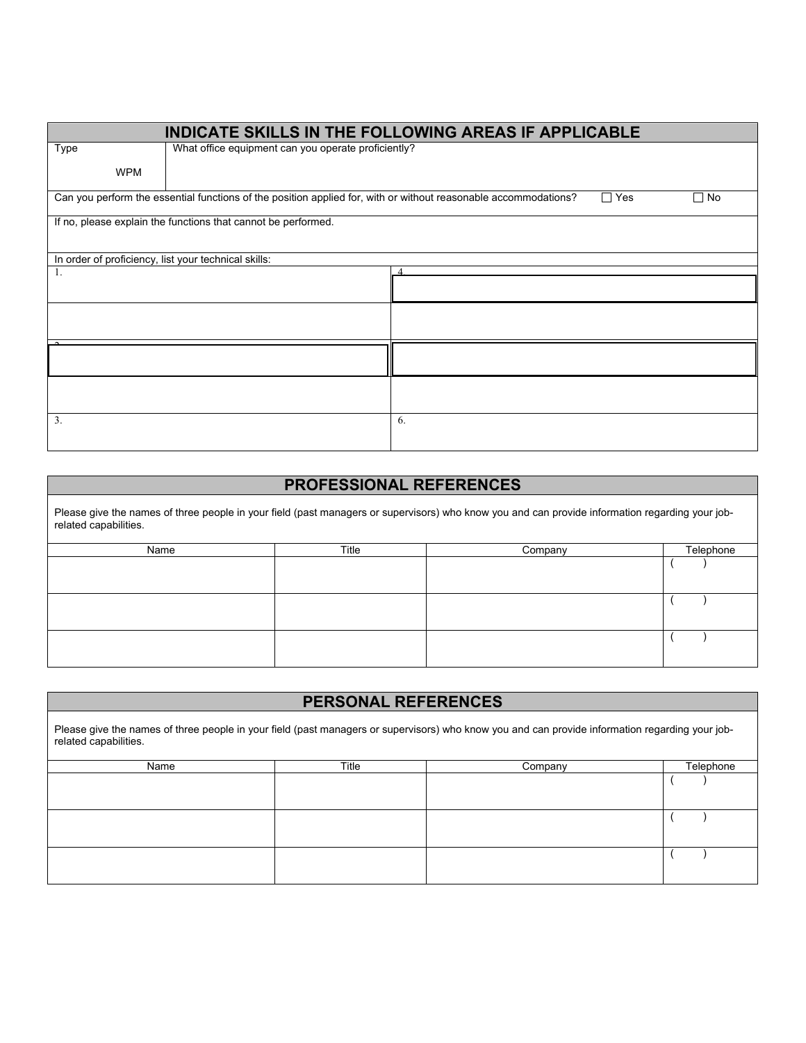|                                                      |                                                                                                                 | <b>INDICATE SKILLS IN THE FOLLOWING AREAS IF APPLICABLE</b> |
|------------------------------------------------------|-----------------------------------------------------------------------------------------------------------------|-------------------------------------------------------------|
| Type                                                 | What office equipment can you operate proficiently?                                                             |                                                             |
| <b>WPM</b>                                           |                                                                                                                 |                                                             |
|                                                      | Can you perform the essential functions of the position applied for, with or without reasonable accommodations? | $\Box$ Yes<br>$\Box$ No                                     |
|                                                      | If no, please explain the functions that cannot be performed.                                                   |                                                             |
|                                                      |                                                                                                                 |                                                             |
| In order of proficiency, list your technical skills: |                                                                                                                 |                                                             |
| 1.                                                   |                                                                                                                 |                                                             |
|                                                      |                                                                                                                 |                                                             |
|                                                      |                                                                                                                 |                                                             |
|                                                      |                                                                                                                 |                                                             |
|                                                      |                                                                                                                 |                                                             |
|                                                      |                                                                                                                 |                                                             |
| 3.                                                   |                                                                                                                 | 6.                                                          |

## **PROFESSIONAL REFERENCES**

Please give the names of three people in your field (past managers or supervisors) who know you and can provide information regarding your jobrelated capabilities.

| Name | Title | Company | Telephone |
|------|-------|---------|-----------|
|      |       |         |           |
|      |       |         |           |
|      |       |         |           |
|      |       |         |           |
|      |       |         |           |
|      |       |         |           |

| <b>PERSONAL REFERENCES</b>                                                                                                                                               |       |         |           |  |  |  |
|--------------------------------------------------------------------------------------------------------------------------------------------------------------------------|-------|---------|-----------|--|--|--|
| Please give the names of three people in your field (past managers or supervisors) who know you and can provide information regarding your job-<br>related capabilities. |       |         |           |  |  |  |
| Name                                                                                                                                                                     | Title | Company | Telephone |  |  |  |
|                                                                                                                                                                          |       |         |           |  |  |  |
|                                                                                                                                                                          |       |         |           |  |  |  |
|                                                                                                                                                                          |       |         |           |  |  |  |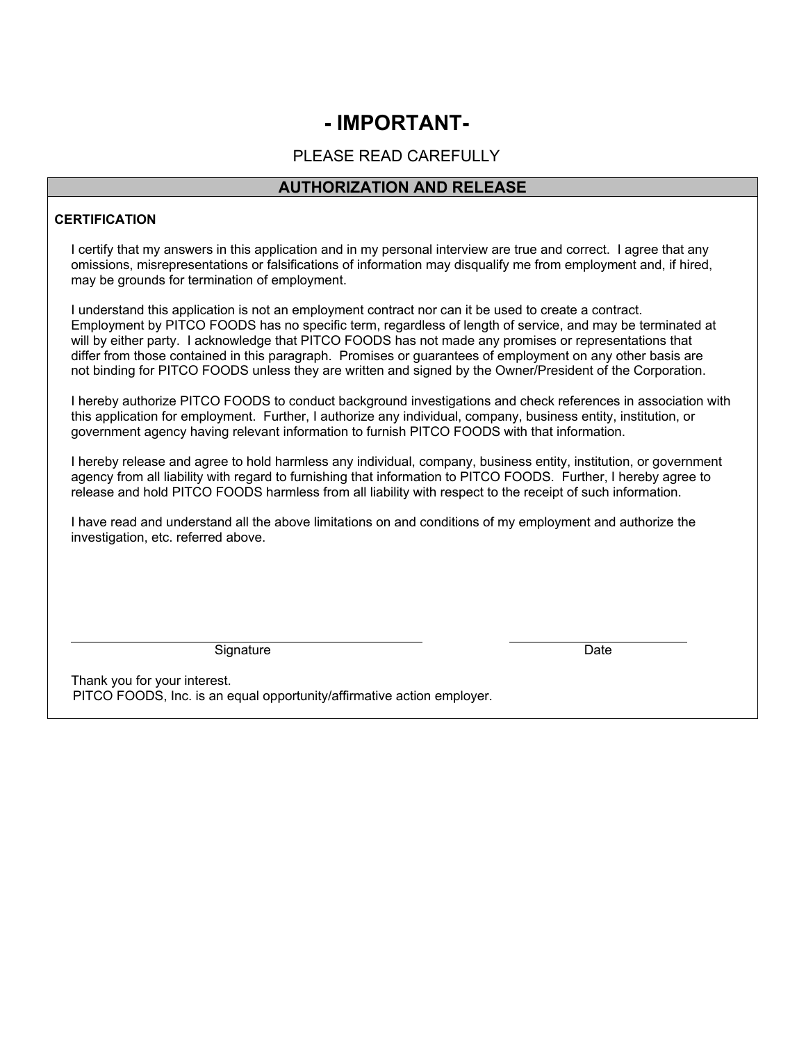## **- IMPORTANT-**

## PLEASE READ CAREFULLY

### **AUTHORIZATION AND RELEASE**

#### **CERTIFICATION**

I certify that my answers in this application and in my personal interview are true and correct. I agree that any omissions, misrepresentations or falsifications of information may disqualify me from employment and, if hired, may be grounds for termination of employment.

I understand this application is not an employment contract nor can it be used to create a contract. Employment by PITCO FOODS has no specific term, regardless of length of service, and may be terminated at will by either party. I acknowledge that PITCO FOODS has not made any promises or representations that differ from those contained in this paragraph. Promises or guarantees of employment on any other basis are not binding for PITCO FOODS unless they are written and signed by the Owner/President of the Corporation.

I hereby authorize PITCO FOODS to conduct background investigations and check references in association with this application for employment. Further, I authorize any individual, company, business entity, institution, or government agency having relevant information to furnish PITCO FOODS with that information.

I hereby release and agree to hold harmless any individual, company, business entity, institution, or government agency from all liability with regard to furnishing that information to PITCO FOODS. Further, I hereby agree to release and hold PITCO FOODS harmless from all liability with respect to the receipt of such information.

I have read and understand all the above limitations on and conditions of my employment and authorize the investigation, etc. referred above.

Signature Date **Date** 

Thank you for your interest. PITCO FOODS, Inc. is an equal opportunity/affirmative action employer.